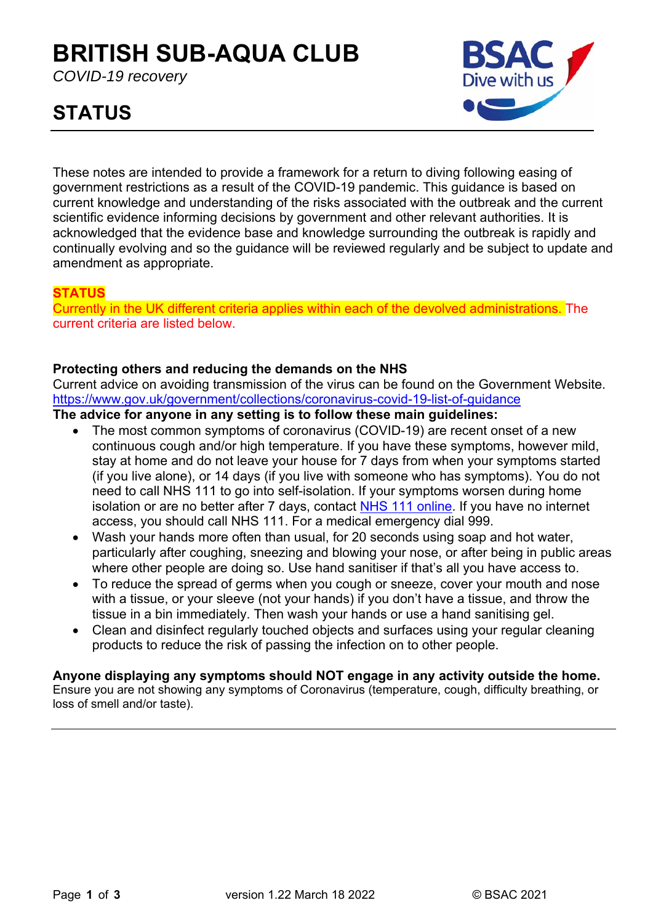## **BRITISH SUB-AQUA CLUB**

*COVID-19 recovery* 

# Dive with us

## **STATUS**

These notes are intended to provide a framework for a return to diving following easing of government restrictions as a result of the COVID-19 pandemic. This guidance is based on current knowledge and understanding of the risks associated with the outbreak and the current scientific evidence informing decisions by government and other relevant authorities. It is acknowledged that the evidence base and knowledge surrounding the outbreak is rapidly and continually evolving and so the guidance will be reviewed regularly and be subject to update and amendment as appropriate.

#### **STATUS**

Currently in the UK different criteria applies within each of the devolved administrations. The current criteria are listed below.

#### **Protecting others and reducing the demands on the NHS**

Current advice on avoiding transmission of the virus can be found on the Government Website. https://www.gov.uk/government/collections/coronavirus-covid-19-list-of-guidance

#### **The advice for anyone in any setting is to follow these main guidelines:**

- The most common symptoms of coronavirus (COVID-19) are recent onset of a new continuous cough and/or high temperature. If you have these symptoms, however mild, stay at home and do not leave your house for 7 days from when your symptoms started (if you live alone), or 14 days (if you live with someone who has symptoms). You do not need to call NHS 111 to go into self-isolation. If your symptoms worsen during home isolation or are no better after 7 days, contact NHS 111 online. If you have no internet access, you should call NHS 111. For a medical emergency dial 999.
- Wash your hands more often than usual, for 20 seconds using soap and hot water, particularly after coughing, sneezing and blowing your nose, or after being in public areas where other people are doing so. Use hand sanitiser if that's all you have access to.
- To reduce the spread of germs when you cough or sneeze, cover your mouth and nose with a tissue, or your sleeve (not your hands) if you don't have a tissue, and throw the tissue in a bin immediately. Then wash your hands or use a hand sanitising gel.
- Clean and disinfect regularly touched objects and surfaces using your regular cleaning products to reduce the risk of passing the infection on to other people.

### **Anyone displaying any symptoms should NOT engage in any activity outside the home.**

Ensure you are not showing any symptoms of Coronavirus (temperature, cough, difficulty breathing, or loss of smell and/or taste).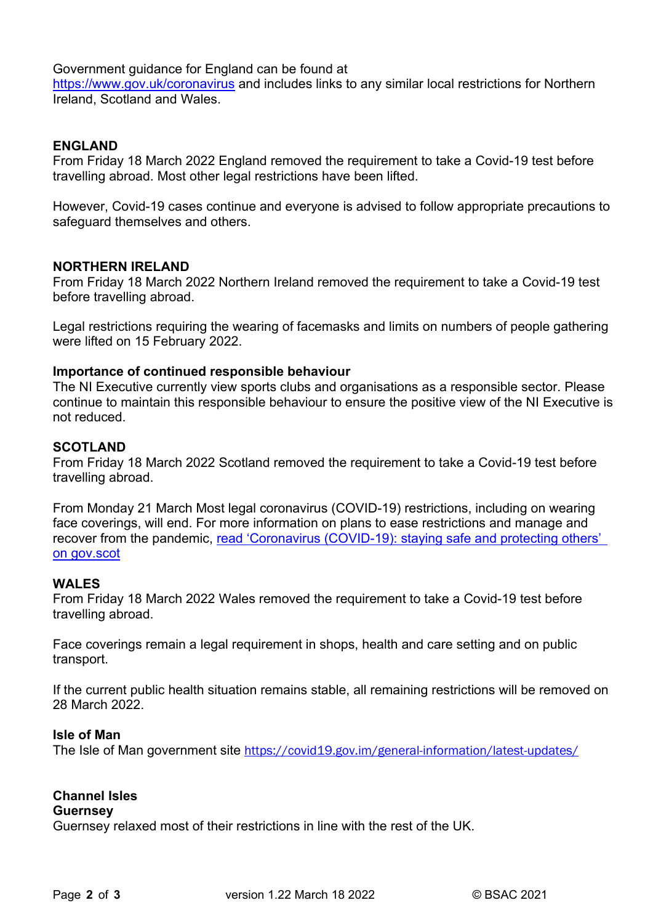Government guidance for England can be found at

https://www.gov.uk/coronavirus and includes links to any similar local restrictions for Northern Ireland, Scotland and Wales.

#### **ENGLAND**

From Friday 18 March 2022 England removed the requirement to take a Covid-19 test before travelling abroad. Most other legal restrictions have been lifted.

However, Covid-19 cases continue and everyone is advised to follow appropriate precautions to safeguard themselves and others.

#### **NORTHERN IRELAND**

From Friday 18 March 2022 Northern Ireland removed the requirement to take a Covid-19 test before travelling abroad.

Legal restrictions requiring the wearing of facemasks and limits on numbers of people gathering were lifted on 15 February 2022.

#### **Importance of continued responsible behaviour**

The NI Executive currently view sports clubs and organisations as a responsible sector. Please continue to maintain this responsible behaviour to ensure the positive view of the NI Executive is not reduced.

#### **SCOTLAND**

From Friday 18 March 2022 Scotland removed the requirement to take a Covid-19 test before travelling abroad.

From Monday 21 March Most legal coronavirus (COVID-19) restrictions, including on wearing face coverings, will end. For more information on plans to ease restrictions and manage and recover from the pandemic, read 'Coronavirus (COVID-19): staying safe and protecting others' on gov.scot

#### **WALES**

From Friday 18 March 2022 Wales removed the requirement to take a Covid-19 test before travelling abroad.

Face coverings remain a legal requirement in shops, health and care setting and on public transport.

If the current public health situation remains stable, all remaining restrictions will be removed on 28 March 2022.

#### **Isle of Man**

The Isle of Man government site https://covid19.gov.jm/general-information/latest-updates/

#### **Channel Isles**

#### **Guernsey**

Guernsey relaxed most of their restrictions in line with the rest of the UK.